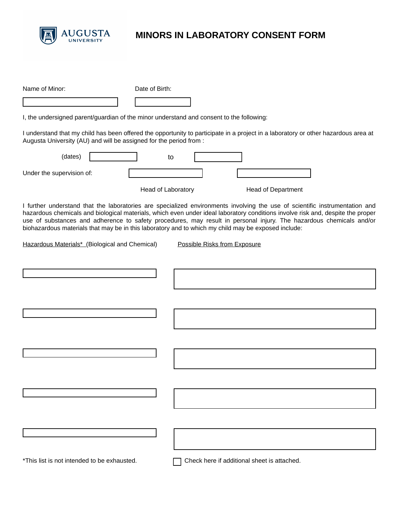

## **MINORS IN LABORATORY CONSENT FORM**

| Name of Minor:                                                                                      | Date of Birth:     |    |                                                                                                                                                                                                                                                                                                                                                                                       |  |
|-----------------------------------------------------------------------------------------------------|--------------------|----|---------------------------------------------------------------------------------------------------------------------------------------------------------------------------------------------------------------------------------------------------------------------------------------------------------------------------------------------------------------------------------------|--|
|                                                                                                     |                    |    |                                                                                                                                                                                                                                                                                                                                                                                       |  |
| I, the undersigned parent/guardian of the minor understand and consent to the following:            |                    |    |                                                                                                                                                                                                                                                                                                                                                                                       |  |
| Augusta University (AU) and will be assigned for the period from :                                  |                    |    | I understand that my child has been offered the opportunity to participate in a project in a laboratory or other hazardous area at                                                                                                                                                                                                                                                    |  |
| (dates)                                                                                             |                    | to |                                                                                                                                                                                                                                                                                                                                                                                       |  |
| Under the supervision of:                                                                           |                    |    |                                                                                                                                                                                                                                                                                                                                                                                       |  |
|                                                                                                     | Head of Laboratory |    | <b>Head of Department</b>                                                                                                                                                                                                                                                                                                                                                             |  |
| biohazardous materials that may be in this laboratory and to which my child may be exposed include: |                    |    | I further understand that the laboratories are specialized environments involving the use of scientific instrumentation and<br>hazardous chemicals and biological materials, which even under ideal laboratory conditions involve risk and, despite the proper<br>use of substances and adherence to safety procedures, may result in personal injury. The hazardous chemicals and/or |  |
| Hazardous Materials* (Biological and Chemical)                                                      |                    |    | <b>Possible Risks from Exposure</b>                                                                                                                                                                                                                                                                                                                                                   |  |
|                                                                                                     |                    |    |                                                                                                                                                                                                                                                                                                                                                                                       |  |
|                                                                                                     |                    |    |                                                                                                                                                                                                                                                                                                                                                                                       |  |
|                                                                                                     |                    |    |                                                                                                                                                                                                                                                                                                                                                                                       |  |
|                                                                                                     |                    |    |                                                                                                                                                                                                                                                                                                                                                                                       |  |
|                                                                                                     |                    |    |                                                                                                                                                                                                                                                                                                                                                                                       |  |
|                                                                                                     |                    |    |                                                                                                                                                                                                                                                                                                                                                                                       |  |
|                                                                                                     |                    |    |                                                                                                                                                                                                                                                                                                                                                                                       |  |
|                                                                                                     |                    |    |                                                                                                                                                                                                                                                                                                                                                                                       |  |
|                                                                                                     |                    |    |                                                                                                                                                                                                                                                                                                                                                                                       |  |
|                                                                                                     |                    |    |                                                                                                                                                                                                                                                                                                                                                                                       |  |
| *This list is not intended to be exhausted.                                                         |                    |    | Check here if additional sheet is attached.                                                                                                                                                                                                                                                                                                                                           |  |